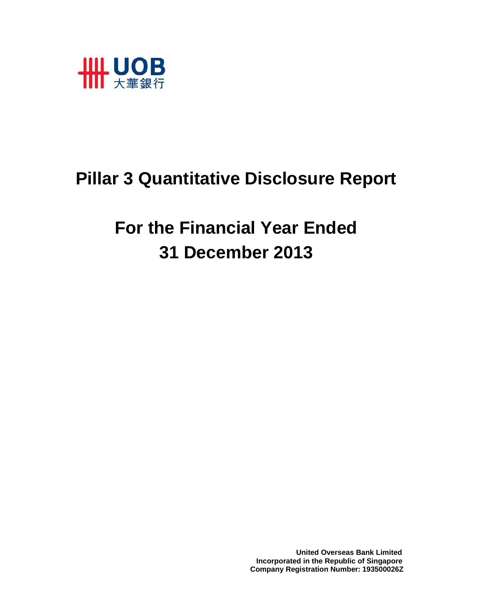

# **Pillar 3 Quantitative Disclosure Report**

**For the Financial Year Ended 31 December 2013** 

> **United Overseas Bank Limited Incorporated in the Republic of Singapore Company Registration Number: 193500026Z**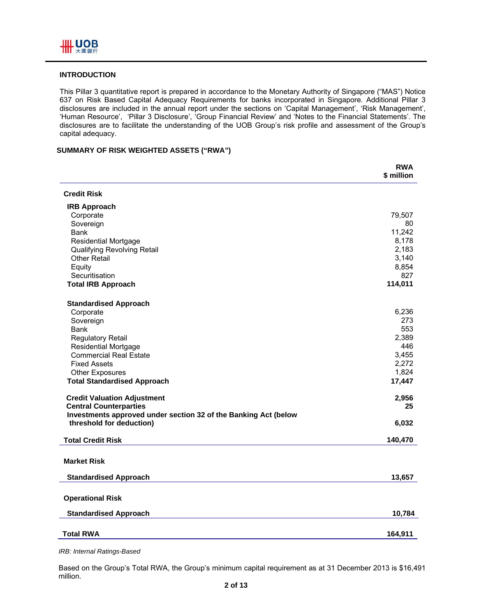

## **INTRODUCTION**

This Pillar 3 quantitative report is prepared in accordance to the Monetary Authority of Singapore ("MAS") Notice 637 on Risk Based Capital Adequacy Requirements for banks incorporated in Singapore. Additional Pillar 3 disclosures are included in the annual report under the sections on 'Capital Management', 'Risk Management', 'Human Resource', 'Pillar 3 Disclosure', 'Group Financial Review' and 'Notes to the Financial Statements'. The disclosures are to facilitate the understanding of the UOB Group's risk profile and assessment of the Group's capital adequacy.

## **SUMMARY OF RISK WEIGHTED ASSETS ("RWA")**

|                                                                 | <b>RWA</b><br>\$ million |
|-----------------------------------------------------------------|--------------------------|
| <b>Credit Risk</b>                                              |                          |
| <b>IRB Approach</b>                                             |                          |
| Corporate                                                       | 79,507                   |
| Sovereign                                                       | 80                       |
| Bank                                                            | 11,242                   |
| <b>Residential Mortgage</b>                                     | 8,178                    |
| Qualifying Revolving Retail<br><b>Other Retail</b>              | 2,183<br>3,140           |
| Equity                                                          | 8,854                    |
| Securitisation                                                  | 827                      |
| <b>Total IRB Approach</b>                                       | 114,011                  |
| <b>Standardised Approach</b>                                    |                          |
| Corporate                                                       | 6,236                    |
| Sovereign                                                       | 273                      |
| <b>Bank</b>                                                     | 553                      |
| <b>Regulatory Retail</b>                                        | 2,389<br>446             |
| <b>Residential Mortgage</b><br><b>Commercial Real Estate</b>    | 3,455                    |
| <b>Fixed Assets</b>                                             | 2,272                    |
| <b>Other Exposures</b>                                          | 1,824                    |
| <b>Total Standardised Approach</b>                              | 17,447                   |
| <b>Credit Valuation Adjustment</b>                              | 2,956                    |
| <b>Central Counterparties</b>                                   | 25                       |
| Investments approved under section 32 of the Banking Act (below |                          |
| threshold for deduction)                                        | 6,032                    |
| <b>Total Credit Risk</b>                                        | 140,470                  |
| <b>Market Risk</b>                                              |                          |
| <b>Standardised Approach</b>                                    | 13,657                   |
| <b>Operational Risk</b>                                         |                          |
| <b>Standardised Approach</b>                                    | 10,784                   |
| <b>Total RWA</b>                                                | 164,911                  |

*IRB: Internal Ratings-Based* 

Based on the Group's Total RWA, the Group's minimum capital requirement as at 31 December 2013 is \$16,491 million.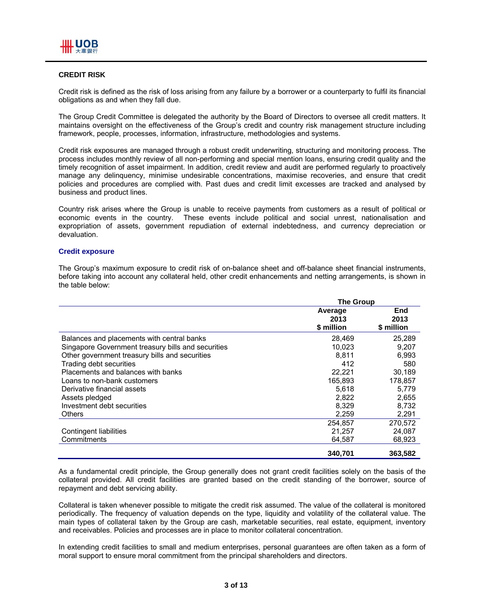## **CREDIT RISK**

Credit risk is defined as the risk of loss arising from any failure by a borrower or a counterparty to fulfil its financial obligations as and when they fall due.

The Group Credit Committee is delegated the authority by the Board of Directors to oversee all credit matters. It maintains oversight on the effectiveness of the Group's credit and country risk management structure including framework, people, processes, information, infrastructure, methodologies and systems.

Credit risk exposures are managed through a robust credit underwriting, structuring and monitoring process. The process includes monthly review of all non-performing and special mention loans, ensuring credit quality and the timely recognition of asset impairment. In addition, credit review and audit are performed regularly to proactively manage any delinquency, minimise undesirable concentrations, maximise recoveries, and ensure that credit policies and procedures are complied with. Past dues and credit limit excesses are tracked and analysed by business and product lines.

Country risk arises where the Group is unable to receive payments from customers as a result of political or economic events in the country. These events include political and social unrest, nationalisation and expropriation of assets, government repudiation of external indebtedness, and currency depreciation or devaluation.

#### **Credit exposure**

The Group's maximum exposure to credit risk of on-balance sheet and off-balance sheet financial instruments, before taking into account any collateral held, other credit enhancements and netting arrangements, is shown in the table below:

|                                                    | <b>The Group</b>              |                           |  |
|----------------------------------------------------|-------------------------------|---------------------------|--|
|                                                    | Average<br>2013<br>\$ million | End<br>2013<br>\$ million |  |
| Balances and placements with central banks         | 28,469                        | 25,289                    |  |
| Singapore Government treasury bills and securities | 10,023                        | 9,207                     |  |
| Other government treasury bills and securities     | 8.811                         | 6,993                     |  |
| Trading debt securities                            | 412                           | 580                       |  |
| Placements and balances with banks                 | 22.221                        | 30.189                    |  |
| Loans to non-bank customers                        | 165,893                       | 178,857                   |  |
| Derivative financial assets                        | 5,618                         | 5.779                     |  |
| Assets pledged                                     | 2,822                         | 2,655                     |  |
| Investment debt securities                         | 8,329                         | 8,732                     |  |
| Others                                             | 2,259                         | 2,291                     |  |
|                                                    | 254,857                       | 270.572                   |  |
| Contingent liabilities                             | 21,257                        | 24,087                    |  |
| Commitments                                        | 64,587                        | 68,923                    |  |
|                                                    | 340,701                       | 363,582                   |  |

As a fundamental credit principle, the Group generally does not grant credit facilities solely on the basis of the collateral provided. All credit facilities are granted based on the credit standing of the borrower, source of repayment and debt servicing ability.

Collateral is taken whenever possible to mitigate the credit risk assumed. The value of the collateral is monitored periodically. The frequency of valuation depends on the type, liquidity and volatility of the collateral value. The main types of collateral taken by the Group are cash, marketable securities, real estate, equipment, inventory and receivables. Policies and processes are in place to monitor collateral concentration.

In extending credit facilities to small and medium enterprises, personal guarantees are often taken as a form of moral support to ensure moral commitment from the principal shareholders and directors.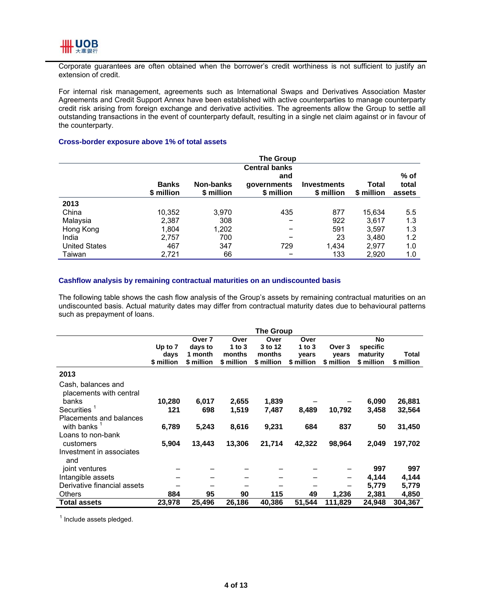

Corporate guarantees are often obtained when the borrower's credit worthiness is not sufficient to justify an extension of credit.

For internal risk management, agreements such as International Swaps and Derivatives Association Master Agreements and Credit Support Annex have been established with active counterparties to manage counterparty credit risk arising from foreign exchange and derivative activities. The agreements allow the Group to settle all outstanding transactions in the event of counterparty default, resulting in a single net claim against or in favour of the counterparty.

#### **Cross-border exposure above 1% of total assets**

|                      |                            |                         | The Group                                                |                                  |                     |                         |
|----------------------|----------------------------|-------------------------|----------------------------------------------------------|----------------------------------|---------------------|-------------------------|
|                      | <b>Banks</b><br>\$ million | Non-banks<br>\$ million | <b>Central banks</b><br>and<br>qovernments<br>\$ million | <b>Investments</b><br>\$ million | Total<br>\$ million | % of<br>total<br>assets |
| 2013                 |                            |                         |                                                          |                                  |                     |                         |
| China                | 10,352                     | 3,970                   | 435                                                      | 877                              | 15.634              | 5.5                     |
| Malaysia             | 2,387                      | 308                     |                                                          | 922                              | 3.617               | 1.3                     |
| Hong Kong            | 1,804                      | 1,202                   |                                                          | 591                              | 3,597               | 1.3                     |
| India                | 2,757                      | 700                     |                                                          | 23                               | 3,480               | 1.2                     |
| <b>United States</b> | 467                        | 347                     | 729                                                      | 1,434                            | 2,977               | 1.0                     |
| Taiwan               | 2,721                      | 66                      |                                                          | 133                              | 2,920               | 1.0                     |

#### **Cashflow analysis by remaining contractual maturities on an undiscounted basis**

The following table shows the cash flow analysis of the Group's assets by remaining contractual maturities on an undiscounted basis. Actual maturity dates may differ from contractual maturity dates due to behavioural patterns such as prepayment of loans.

|                                               |            |            |            | <b>The Group</b> |            |            |            |              |
|-----------------------------------------------|------------|------------|------------|------------------|------------|------------|------------|--------------|
|                                               |            | Over 7     | Over       | Over             | Over       |            | <b>No</b>  |              |
|                                               | Up to 7    | days to    | 1 to $3$   | 3 to 12          | 1 to $3$   | Over 3     | specific   |              |
|                                               | days       | 1 month    | months     | months           | vears      | vears      | maturity   | <b>Total</b> |
|                                               | \$ million | \$ million | \$ million | \$ million       | \$ million | \$ million | \$ million | \$ million   |
| 2013                                          |            |            |            |                  |            |            |            |              |
| Cash, balances and<br>placements with central |            |            |            |                  |            |            |            |              |
| banks                                         | 10,280     | 6,017      | 2,655      | 1,839            |            |            | 6,090      | 26,881       |
| <b>Securities</b>                             | 121        | 698        | 1,519      | 7,487            | 8,489      | 10,792     | 3,458      | 32,564       |
| Placements and balances                       |            |            |            |                  |            |            |            |              |
| with banks                                    | 6,789      | 5,243      | 8,616      | 9,231            | 684        | 837        | 50         | 31,450       |
| Loans to non-bank                             |            |            |            |                  |            |            |            |              |
| customers                                     | 5,904      | 13,443     | 13,306     | 21,714           | 42,322     | 98,964     | 2,049      | 197,702      |
| Investment in associates                      |            |            |            |                  |            |            |            |              |
| and                                           |            |            |            |                  |            |            |            |              |
| joint ventures                                |            |            |            |                  |            |            | 997        | 997          |
| Intangible assets                             |            |            |            |                  |            | -          | 4,144      | 4,144        |
| Derivative financial assets                   |            |            |            |                  |            |            | 5,779      | 5,779        |
| <b>Others</b>                                 | 884        | 95         | 90         | 115              | 49         | 1,236      | 2,381      | 4,850        |
| <b>Total assets</b>                           | 23,978     | 25,496     | 26,186     | 40,386           | 51,544     | 111,829    | 24,948     | 304,367      |

<sup>1</sup> Include assets pledged.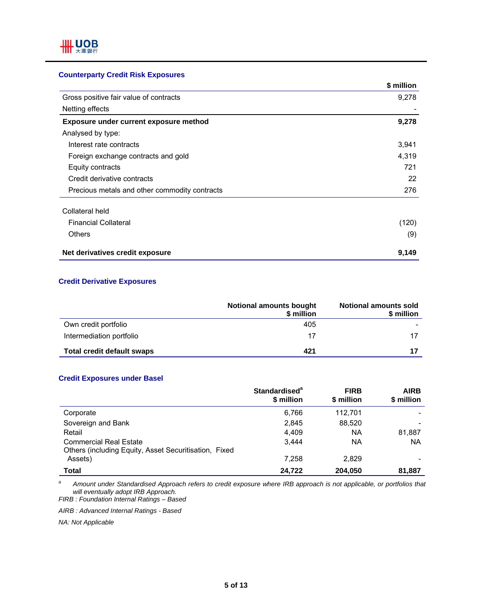# **Counterparty Credit Risk Exposures**

|                                               | \$ million |
|-----------------------------------------------|------------|
| Gross positive fair value of contracts        | 9,278      |
| Netting effects                               |            |
| Exposure under current exposure method        | 9,278      |
| Analysed by type:                             |            |
| Interest rate contracts                       | 3,941      |
| Foreign exchange contracts and gold           | 4,319      |
| Equity contracts                              | 721        |
| Credit derivative contracts                   | 22         |
| Precious metals and other commodity contracts | 276        |
| Collateral held                               |            |
| <b>Financial Collateral</b>                   | (120)      |
| <b>Others</b>                                 | (9)        |
| Net derivatives credit exposure               | 9,149      |

## **Credit Derivative Exposures**

|                                   | <b>Notional amounts bought</b><br>\$ million | Notional amounts sold<br>\$ million |
|-----------------------------------|----------------------------------------------|-------------------------------------|
| Own credit portfolio              | 405                                          |                                     |
| Intermediation portfolio          | 17                                           |                                     |
| <b>Total credit default swaps</b> | 421                                          |                                     |

## **Credit Exposures under Basel**

|                                                                                        | Standardised <sup>a</sup><br>\$ million | <b>FIRB</b><br>\$ million | <b>AIRB</b><br>\$ million |
|----------------------------------------------------------------------------------------|-----------------------------------------|---------------------------|---------------------------|
| Corporate                                                                              | 6.766                                   | 112.701                   |                           |
| Sovereign and Bank                                                                     | 2.845                                   | 88.520                    |                           |
| Retail                                                                                 | 4,409                                   | NA                        | 81,887                    |
| <b>Commercial Real Estate</b><br>Others (including Equity, Asset Securitisation, Fixed | 3.444                                   | NA                        | <b>NA</b>                 |
| Assets)                                                                                | 7,258                                   | 2,829                     |                           |
| Total                                                                                  | 24.722                                  | 204,050                   | 81,887                    |

*a Amount under Standardised Approach refers to credit exposure where IRB approach is not applicable, or portfolios that will eventually adopt IRB Approach. FIRB : Foundation Internal Ratings – Based* 

*AIRB : Advanced Internal Ratings - Based* 

*NA: Not Applicable*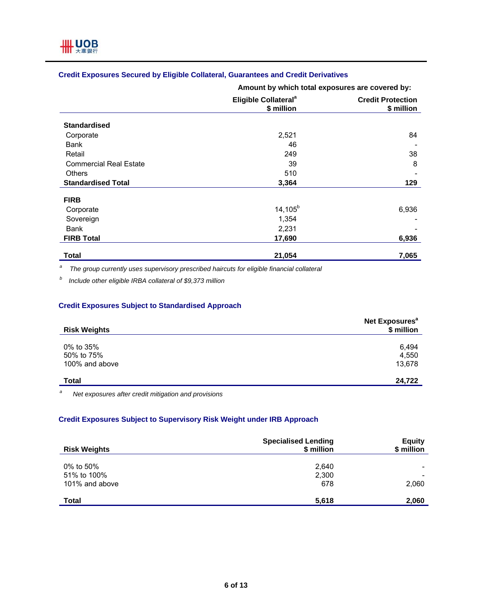# **Credit Exposures Secured by Eligible Collateral, Guarantees and Credit Derivatives**

**Amount by which total exposures are covered by:**

|                               | Eligible Collateral <sup>a</sup><br>\$ million | <b>Credit Protection</b><br>\$ million |
|-------------------------------|------------------------------------------------|----------------------------------------|
| <b>Standardised</b>           |                                                |                                        |
| Corporate                     | 2,521                                          | 84                                     |
| <b>Bank</b>                   | 46                                             |                                        |
| Retail                        | 249                                            | 38                                     |
| <b>Commercial Real Estate</b> | 39                                             | 8                                      |
| <b>Others</b>                 | 510                                            |                                        |
| <b>Standardised Total</b>     | 3,364                                          | 129                                    |
| <b>FIRB</b>                   |                                                |                                        |
| Corporate                     | $14, 105^b$                                    | 6,936                                  |
| Sovereign                     | 1,354                                          |                                        |
| <b>Bank</b>                   | 2,231                                          |                                        |
| <b>FIRB Total</b>             | 17,690                                         | 6,936                                  |
| <b>Total</b>                  | 21,054                                         | 7,065                                  |

*a The group currently uses supervisory prescribed haircuts for eligible financial collateral* 

*b Include other eligible IRBA collateral of \$9,373 million* 

# **Credit Exposures Subject to Standardised Approach**

| <b>Risk Weights</b>                       | Net Exposures <sup>a</sup><br>\$ million |
|-------------------------------------------|------------------------------------------|
| 0% to 35%<br>50% to 75%<br>100% and above | 6,494<br>4,550<br>13,678                 |
| <b>Total</b>                              | 24,722                                   |

*a Net exposures after credit mitigation and provisions* 

# **Credit Exposures Subject to Supervisory Risk Weight under IRB Approach**

| <b>Risk Weights</b>                        | <b>Specialised Lending</b><br>\$ million | <b>Equity</b><br>\$ million |
|--------------------------------------------|------------------------------------------|-----------------------------|
| 0% to 50%<br>51% to 100%<br>101% and above | 2,640<br>2,300<br>678                    | ٠<br>2,060                  |
| <b>Total</b>                               | 5,618                                    | 2,060                       |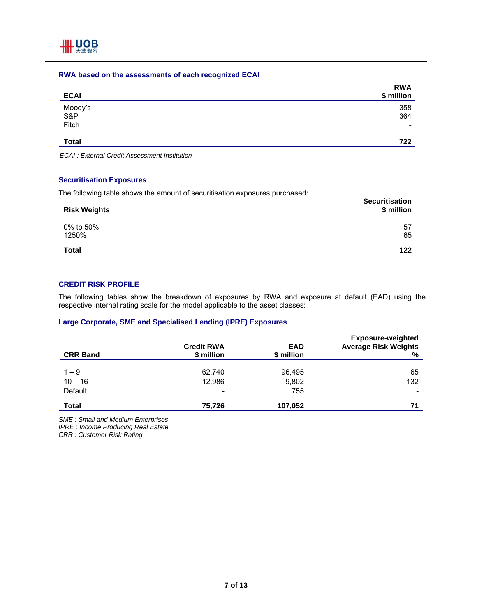#### **RWA based on the assessments of each recognized ECAI**

| <b>ECAI</b>             | <b>RWA</b><br>\$ million |
|-------------------------|--------------------------|
| Moody's<br>S&P<br>Fitch | 358<br>364<br>-          |
| <b>Total</b>            | 722                      |

*ECAI : External Credit Assessment Institution* 

## **Securitisation Exposures**

The following table shows the amount of securitisation exposures purchased:

| The following table shows the amount of cooditionation expectation paramacea. | <b>Securitisation</b> |
|-------------------------------------------------------------------------------|-----------------------|
| <b>Risk Weights</b>                                                           | \$ million            |
| 0% to 50%                                                                     | 57                    |
| 1250%                                                                         | 65                    |
| <b>Total</b>                                                                  | 122                   |

# **CREDIT RISK PROFILE**

The following tables show the breakdown of exposures by RWA and exposure at default (EAD) using the respective internal rating scale for the model applicable to the asset classes:

## **Large Corporate, SME and Specialised Lending (IPRE) Exposures**

| <b>CRR Band</b> | <b>Credit RWA</b><br>\$ million | <b>EAD</b><br>\$ million | <b>Exposure-weighted</b><br><b>Average Risk Weights</b><br>% |
|-----------------|---------------------------------|--------------------------|--------------------------------------------------------------|
|                 |                                 |                          |                                                              |
| $1 - 9$         | 62,740                          | 96,495                   | 65                                                           |
| $10 - 16$       | 12,986                          | 9,802                    | 132                                                          |
| Default         | ٠                               | 755                      | ۰                                                            |
| <b>Total</b>    | 75,726                          | 107,052                  | 71                                                           |

*SME : Small and Medium Enterprises* 

*IPRE : Income Producing Real Estate* 

*CRR : Customer Risk Rating*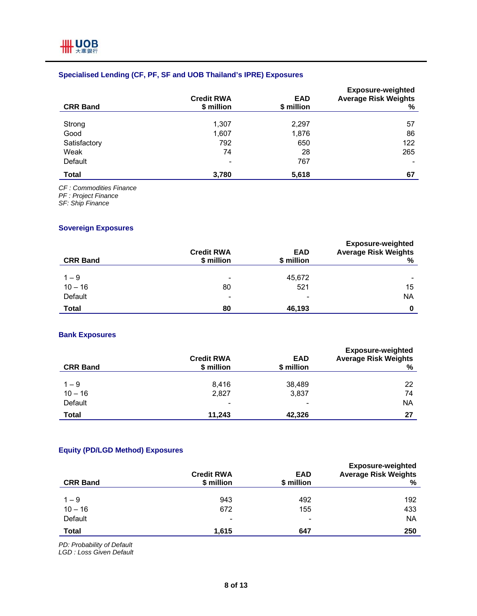# **Specialised Lending (CF, PF, SF and UOB Thailand's IPRE) Exposures**

| <b>CRR Band</b> | <b>Credit RWA</b><br>\$ million | <b>EAD</b><br>\$ million | <b>Exposure-weighted</b><br><b>Average Risk Weights</b><br>% |
|-----------------|---------------------------------|--------------------------|--------------------------------------------------------------|
|                 |                                 |                          |                                                              |
| Strong          | 1,307                           | 2,297                    | 57                                                           |
| Good            | 1,607                           | 1,876                    | 86                                                           |
| Satisfactory    | 792                             | 650                      | 122                                                          |
| Weak            | 74                              | 28                       | 265                                                          |
| Default         | $\overline{\phantom{a}}$        | 767                      | ٠                                                            |
| <b>Total</b>    | 3,780                           | 5,618                    | 67                                                           |

*CF : Commodities Finance* 

*PF : Project Finance* 

*SF: Ship Finance* 

# **Sovereign Exposures**

| <b>CRR Band</b>      | <b>Credit RWA</b><br>\$ million | <b>EAD</b><br>\$ million | <b>Exposure-weighted</b><br><b>Average Risk Weights</b><br>℅ |
|----------------------|---------------------------------|--------------------------|--------------------------------------------------------------|
|                      |                                 | 45,672                   |                                                              |
| $1 - 9$<br>$10 - 16$ | $\overline{\phantom{0}}$<br>80  | 521                      | 15                                                           |
| Default              | $\overline{\phantom{0}}$        | ۰                        | <b>NA</b>                                                    |
| <b>Total</b>         | 80                              | 46,193                   | 0                                                            |

## **Bank Exposures**

| <b>CRR Band</b> | <b>Credit RWA</b><br>\$ million | <b>EAD</b><br>\$ million | <b>Exposure-weighted</b><br><b>Average Risk Weights</b><br>% |
|-----------------|---------------------------------|--------------------------|--------------------------------------------------------------|
| $1 - 9$         | 8.416                           | 38,489                   | 22                                                           |
| $10 - 16$       | 2,827                           | 3,837                    | 74                                                           |
| Default         | $\overline{\phantom{0}}$        | ٠                        | ΝA                                                           |
| Total           | 11,243                          | 42,326                   | 27                                                           |

# **Equity (PD/LGD Method) Exposures**

| <b>CRR Band</b> | <b>Credit RWA</b><br>\$ million | <b>EAD</b><br>\$ million | <b>Exposure-weighted</b><br><b>Average Risk Weights</b><br>% |
|-----------------|---------------------------------|--------------------------|--------------------------------------------------------------|
|                 |                                 |                          |                                                              |
| $1 - 9$         | 943                             | 492                      | 192                                                          |
| $10 - 16$       | 672                             | 155                      | 433                                                          |
| Default         | -                               | $\overline{\phantom{0}}$ | <b>NA</b>                                                    |
| <b>Total</b>    | 1,615                           | 647                      | 250                                                          |

*PD: Probability of Default* 

*LGD : Loss Given Default*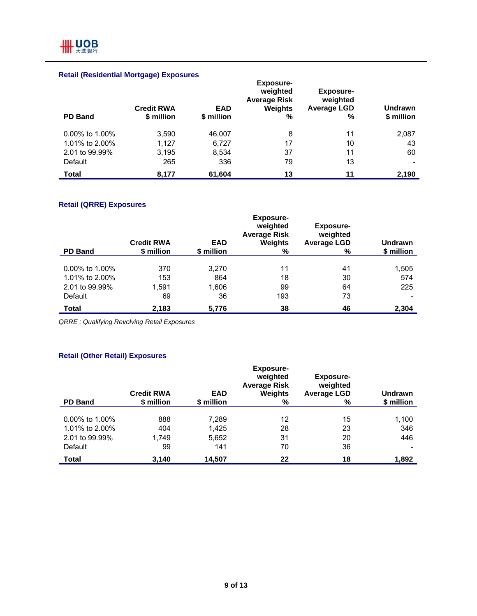# **Retail (Residential Mortgage) Exposures**

| <b>PD Band</b>    | <b>Credit RWA</b><br>\$ million | <b>EAD</b><br>\$ million | <b>Exposure-</b><br>weighted<br><b>Average Risk</b><br>Weights<br>% | <b>Exposure-</b><br>weighted<br><b>Average LGD</b><br>% | <b>Undrawn</b><br>\$ million |
|-------------------|---------------------------------|--------------------------|---------------------------------------------------------------------|---------------------------------------------------------|------------------------------|
|                   |                                 |                          |                                                                     |                                                         |                              |
| $0.00\%$ to 1.00% | 3,590                           | 46,007                   | 8                                                                   | 11                                                      | 2,087                        |
| 1.01% to 2.00%    | 1,127                           | 6,727                    | 17                                                                  | 10                                                      | 43                           |
| 2.01 to 99.99%    | 3,195                           | 8,534                    | 37                                                                  | 11                                                      | 60                           |
| Default           | 265                             | 336                      | 79                                                                  | 13                                                      | $\overline{\phantom{0}}$     |
| <b>Total</b>      | 8,177                           | 61,604                   | 13                                                                  | 11                                                      | 2,190                        |

# **Retail (QRRE) Exposures**

| <b>PD Band</b>    | <b>Credit RWA</b><br>\$ million | <b>EAD</b><br>\$ million | <b>Exposure-</b><br>weighted<br><b>Average Risk</b><br><b>Weights</b><br>% | <b>Exposure-</b><br>weighted<br><b>Average LGD</b><br>% | <b>Undrawn</b><br>\$ million |
|-------------------|---------------------------------|--------------------------|----------------------------------------------------------------------------|---------------------------------------------------------|------------------------------|
|                   |                                 |                          |                                                                            |                                                         |                              |
| $0.00\%$ to 1.00% | 370                             | 3,270                    | 11                                                                         | 41                                                      | 1,505                        |
| 1.01% to 2.00%    | 153                             | 864                      | 18                                                                         | 30                                                      | 574                          |
| 2.01 to 99.99%    | 1.591                           | 1,606                    | 99                                                                         | 64                                                      | 225                          |
| Default           | 69                              | 36                       | 193                                                                        | 73                                                      |                              |
| <b>Total</b>      | 2,183                           | 5,776                    | 38                                                                         | 46                                                      | 2,304                        |

*QRRE : Qualifying Revolving Retail Exposures* 

# **Retail (Other Retail) Exposures**

| <b>PD Band</b> | <b>Credit RWA</b><br>\$ million | <b>EAD</b><br>\$ million | <b>Exposure-</b><br>weighted<br><b>Average Risk</b><br><b>Weights</b><br>% | <b>Exposure-</b><br>weighted<br><b>Average LGD</b><br>% | <b>Undrawn</b><br>\$ million |
|----------------|---------------------------------|--------------------------|----------------------------------------------------------------------------|---------------------------------------------------------|------------------------------|
|                |                                 |                          |                                                                            |                                                         |                              |
| 0.00% to 1.00% | 888                             | 7,289                    | 12                                                                         | 15                                                      | 1,100                        |
| 1.01% to 2.00% | 404                             | 1,425                    | 28                                                                         | 23                                                      | 346                          |
| 2.01 to 99.99% | 1.749                           | 5,652                    | 31                                                                         | 20                                                      | 446                          |
| Default        | 99                              | 141                      | 70                                                                         | 36                                                      |                              |
| Total          | 3,140                           | 14,507                   | 22                                                                         | 18                                                      | 1,892                        |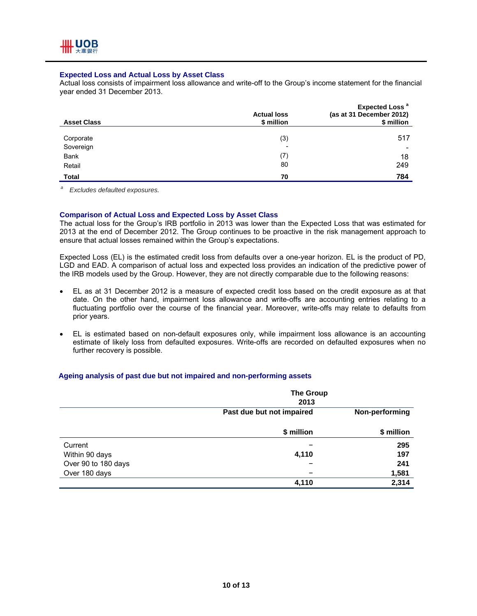## **Expected Loss and Actual Loss by Asset Class**

Actual loss consists of impairment loss allowance and write-off to the Group's income statement for the financial year ended 31 December 2013.

| <b>Asset Class</b> | <b>Actual loss</b><br>\$ million | <b>Expected Loss<sup>a</sup></b><br>(as at 31 December 2012)<br>\$ million |
|--------------------|----------------------------------|----------------------------------------------------------------------------|
|                    |                                  |                                                                            |
| Corporate          | (3)                              | 517                                                                        |
| Sovereign          | $\overline{\phantom{0}}$         | $\overline{\phantom{a}}$                                                   |
| Bank               | (7)                              | 18                                                                         |
| Retail             | 80                               | 249                                                                        |
| Total              | 70                               | 784                                                                        |

*a Excludes defaulted exposures.* 

#### **Comparison of Actual Loss and Expected Loss by Asset Class**

The actual loss for the Group's IRB portfolio in 2013 was lower than the Expected Loss that was estimated for 2013 at the end of December 2012. The Group continues to be proactive in the risk management approach to ensure that actual losses remained within the Group's expectations.

Expected Loss (EL) is the estimated credit loss from defaults over a one-year horizon. EL is the product of PD, LGD and EAD. A comparison of actual loss and expected loss provides an indication of the predictive power of the IRB models used by the Group. However, they are not directly comparable due to the following reasons:

- EL as at 31 December 2012 is a measure of expected credit loss based on the credit exposure as at that date. On the other hand, impairment loss allowance and write-offs are accounting entries relating to a fluctuating portfolio over the course of the financial year. Moreover, write-offs may relate to defaults from prior years.
- EL is estimated based on non-default exposures only, while impairment loss allowance is an accounting estimate of likely loss from defaulted exposures. Write-offs are recorded on defaulted exposures when no further recovery is possible.

#### **Ageing analysis of past due but not impaired and non-performing assets**

|                     | The Group<br>2013         |                |
|---------------------|---------------------------|----------------|
|                     | Past due but not impaired | Non-performing |
|                     | \$ million                | \$ million     |
| Current             |                           | 295            |
| Within 90 days      | 4,110                     | 197            |
| Over 90 to 180 days |                           | 241            |
| Over 180 days       | $\overline{\phantom{0}}$  | 1,581          |
|                     | 4,110                     | 2,314          |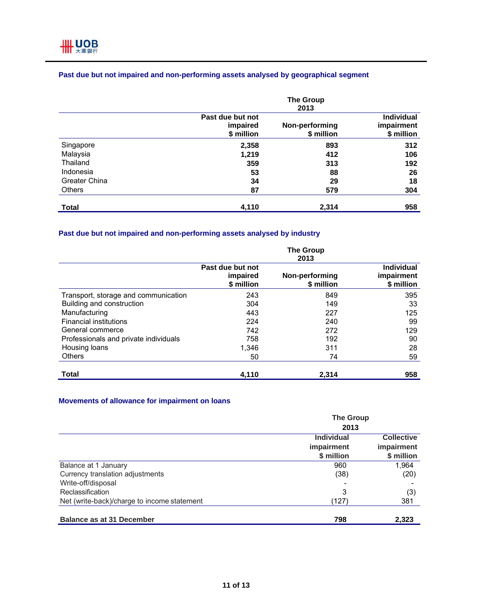|                      |                                            | <b>The Group</b><br>2013     |                                        |
|----------------------|--------------------------------------------|------------------------------|----------------------------------------|
|                      | Past due but not<br>impaired<br>\$ million | Non-performing<br>\$ million | Individual<br>impairment<br>\$ million |
| Singapore            | 2,358                                      | 893                          | 312                                    |
| Malaysia             | 1,219                                      | 412                          | 106                                    |
| Thailand             | 359                                        | 313                          | 192                                    |
| Indonesia            | 53                                         | 88                           | 26                                     |
| <b>Greater China</b> | 34                                         | 29                           | 18                                     |
| <b>Others</b>        | 87                                         | 579                          | 304                                    |
| Total                | 4,110                                      | 2,314                        | 958                                    |

# **Past due but not impaired and non-performing assets analysed by geographical segment**

# **Past due but not impaired and non-performing assets analysed by industry**

|                                       | <b>The Group</b><br>2013                   |                              |                                               |  |
|---------------------------------------|--------------------------------------------|------------------------------|-----------------------------------------------|--|
|                                       | Past due but not<br>impaired<br>\$ million | Non-performing<br>\$ million | <b>Individual</b><br>impairment<br>\$ million |  |
| Transport, storage and communication  | 243                                        | 849                          | 395                                           |  |
| Building and construction             | 304                                        | 149                          | 33                                            |  |
| Manufacturing                         | 443                                        | 227                          | 125                                           |  |
| <b>Financial institutions</b>         | 224                                        | 240                          | 99                                            |  |
| General commerce                      | 742                                        | 272                          | 129                                           |  |
| Professionals and private individuals | 758                                        | 192                          | 90                                            |  |
| Housing loans                         | 1,346                                      | 311                          | 28                                            |  |
| Others                                | 50                                         | 74                           | 59                                            |  |
| Total                                 | 4,110                                      | 2,314                        | 958                                           |  |

## **Movements of allowance for impairment on loans**

|                                             | <b>The Group</b><br>2013 |                          |
|---------------------------------------------|--------------------------|--------------------------|
|                                             |                          |                          |
|                                             | <b>Individual</b>        | <b>Collective</b>        |
|                                             | impairment<br>\$ million | impairment<br>\$ million |
| Balance at 1 January                        | 960                      | 1,964                    |
| Currency translation adjustments            | (38)                     | (20)                     |
| Write-off/disposal                          |                          |                          |
| Reclassification                            | 3                        | (3)                      |
| Net (write-back)/charge to income statement | (127)                    | 381                      |
| <b>Balance as at 31 December</b>            | 798                      | 2,323                    |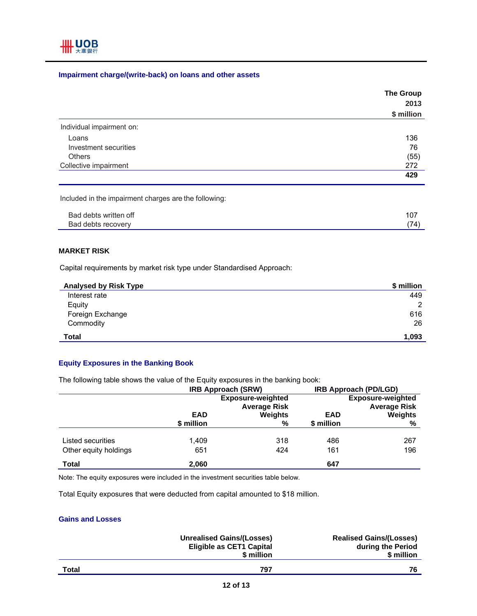

## **Impairment charge/(write-back) on loans and other assets**

|                           | <b>The Group</b><br>2013<br>\$ million |
|---------------------------|----------------------------------------|
|                           |                                        |
|                           |                                        |
| Individual impairment on: |                                        |
| Loans                     | 136                                    |
| Investment securities     | 76                                     |
| Others                    | (55)                                   |
| Collective impairment     | 272                                    |
|                           | 429                                    |

Included in the impairment charges are the following:

| Bad debts written off | ו שו |
|-----------------------|------|
| Bad debts recovery    |      |

## **MARKET RISK**

Capital requirements by market risk type under Standardised Approach:

| <b>Analysed by Risk Type</b> | \$ million   |
|------------------------------|--------------|
| Interest rate                | 449          |
| Equity                       | $\mathbf{2}$ |
| Foreign Exchange             | 616          |
| Commodity                    | 26           |
| Total                        | 1,093        |

## **Equity Exposures in the Banking Book**

The following table shows the value of the Equity exposures in the banking book:

|                       | <b>IRB Approach (SRW)</b>                       |              | <b>IRB Approach (PD/LGD)</b>                    |                     |
|-----------------------|-------------------------------------------------|--------------|-------------------------------------------------|---------------------|
|                       | <b>Exposure-weighted</b><br><b>Average Risk</b> |              | <b>Exposure-weighted</b><br><b>Average Risk</b> |                     |
|                       | <b>EAD</b><br>\$ million                        | Weights<br>% | <b>EAD</b><br>\$ million                        | <b>Weights</b><br>% |
|                       |                                                 |              |                                                 |                     |
| Listed securities     | 1.409                                           | 318          | 486                                             | 267                 |
| Other equity holdings | 651                                             | 424          | 161                                             | 196                 |
| <b>Total</b>          | 2,060                                           |              | 647                                             |                     |

Note: The equity exposures were included in the investment securities table below.

Total Equity exposures that were deducted from capital amounted to \$18 million.

#### **Gains and Losses**

|       | <b>Unrealised Gains/(Losses)</b><br><b>Eligible as CET1 Capital</b><br>\$ million | <b>Realised Gains/(Losses)</b><br>during the Period<br>\$ million |
|-------|-----------------------------------------------------------------------------------|-------------------------------------------------------------------|
| Total | 797                                                                               | 76                                                                |